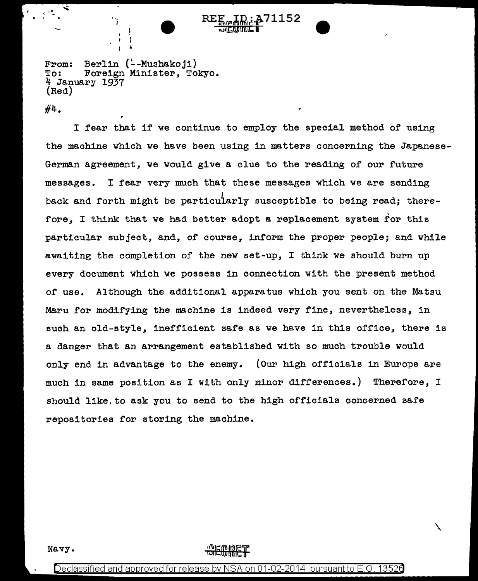From: Berlin (--Mushakoji)<br>To: Foreign Minister, To To: Foreign Minister, Tokyo. 4 January 1937 (Red)

 $\mathbf{I}$ 

#4.

 $\mathbb{R}^8$ 

I fear that if we continue to employ the special method of using the machine which we have been using in matters concerning the Japanese-German agreement, we would give a clue to the reading of our future messages. I fear very much that these messages which we are sending back and forth might be particuiarly susceptible to being read; therefore, I think that we had better adopt a replacement system for this particular subject, and, of course, inform the proper people; and while awaiting the completion of the new set-up, I think we should burn up every document which we possess in connection with the present method of use. Although the additional apparatus which you sent on the Matsu Maru for modifying the machine is indeed very fine, nevertheless, in such an old-style, inefficient safe as we have in this office, there is a danger that an arrangement established with so much trouble would only end in advantage to the enemy. (Our high officials in Europe are much in same position as I with only minor differences.) Therefore, I should like.to ask you to send to the high officials concerned safe repositories for storing the machine.

Navy.

 $\checkmark$ 

Declassified and approved for release by NSA on 01-02-2014 pursuant to E.O. 1352e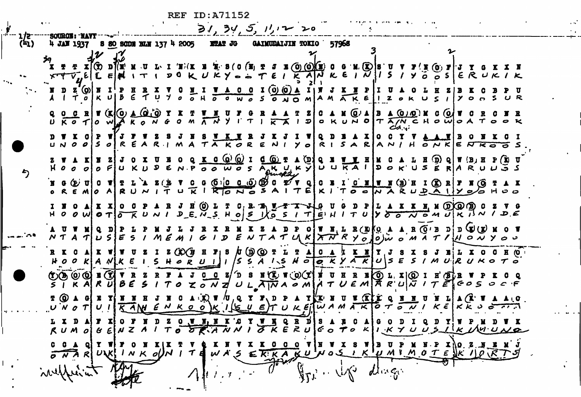ر<br>بار

 $\cdot$  .

ъ,

|      | $\blacksquare$                        |                                                                                                                                                                                                                                                                                                                                                                                                                                                 | 31, 34, 5, 11, 12, 20                                                                                                                                                                                                                                                                                                                                                 |      |
|------|---------------------------------------|-------------------------------------------------------------------------------------------------------------------------------------------------------------------------------------------------------------------------------------------------------------------------------------------------------------------------------------------------------------------------------------------------------------------------------------------------|-----------------------------------------------------------------------------------------------------------------------------------------------------------------------------------------------------------------------------------------------------------------------------------------------------------------------------------------------------------------------|------|
| (41) | <b>---SOURCE: -NAVY</b><br>4 JAN 1937 | S 80 SCDE BLN 137 4 2005                                                                                                                                                                                                                                                                                                                                                                                                                        | <b>ETAT JG</b><br>57968<br><b>GAIMUDAIJIN TOKIO</b>                                                                                                                                                                                                                                                                                                                   |      |
|      |                                       | $\mathbf{D}\mathbf{1}(\mathbf{X},\mathbf{X}\cdot\mathbf{Q}\cdot\mathbf{I'}\cdot\mathbf{I}\cdot\mathbf{X})(\mathbf{X}\cdot\mathbf{X}% \cdot\mathbf{I'})=\mathbf{1}(\mathbf{X}\cdot\mathbf{I})\mathbf{1}(\mathbf{X}\cdot\mathbf{I})$                                                                                                                                                                                                              | $J \times (0)$ (O)(E) 0 0 M. (E)  S U V<br>$S$ ( $O$ ( $X_1$ $T$<br>$T'$ N (0) $T$ J Y<br>$x \in V$ , E $ L \in \mathbb{N}$ $ T $ $1 \leq 0 \leq k$ $U \leq Y$ $\Rightarrow$ $T \in I$ $\overline{K}$ $A N$ $k \in I$ $\overline{V}$ $ I \leq I$ $Y$ $\overline{o}$ $\overline{o}$ $s$ $ E \cap U $ $K$                                                               |      |
|      |                                       | $\begin{array}{cccccccccccccccccc} \texttt{D} & \texttt{Z} & \texttt{(O)} & \texttt{N} & \texttt{I} & \texttt{P} & \texttt{B} & \texttt{R} & \texttt{X} & \texttt{V} & \texttt{O} & \texttt{M} & \texttt{I} & \texttt{W} & \texttt{A} & \texttt{O} & \texttt{O} \\ \texttt{I} & \texttt{T} & o & \texttt{K} & \texttt{U} & \texttt{B} & \texttt{E} & \texttt{T} & \texttt{U} & \texttt{V} & o & o & \texttt{M} & o & \texttt{B} & \texttt{W} &$ | 1(0)(0)<br>SONOMAMAKEIIZOKU<br>$\leq$<br>$Y$ $O_5$ $S$ $U$ $R$                                                                                                                                                                                                                                                                                                        |      |
|      |                                       | $\begin{array}{ccccc}\n0 & 0 & 0 & 0\n\end{array}$<br>U KO TO WA KONGOMAN                                                                                                                                                                                                                                                                                                                                                                       | A M OA<br>$B \triangle Q/Q$ ) M C $Q/T$<br>$T \mid \overline{K \mid A} \mid D$<br>O K U N 0 T A IN C H O W O A T O O K<br>این                                                                                                                                                                                                                                         |      |
|      |                                       | UNOOSOREARIMATAKORE                                                                                                                                                                                                                                                                                                                                                                                                                             | $\bullet$ $\bullet$<br>NIYORISARANIHONKENKOOS                                                                                                                                                                                                                                                                                                                         |      |
|      |                                       |                                                                                                                                                                                                                                                                                                                                                                                                                                                 | $\mathbf{X}$ $\mathbf{G}$ $(\mathbf{Q})$ $(\mathbf{Q})$ $\mathbf{I}$<br>$d$ (0) $r$<br>$\mathbf{r}(\bar{\mathbf{a}})$<br>$Q$ $\pi$ (B $\pi$ P $(\Sigma$<br>(מ)<br>HOOOOFUKUDENPOOWOSAKUKYUUKAIDOKUSERARU                                                                                                                                                              |      |
|      | $G(E)$ $U$ $S$ $T$ $T$ $T$            | $\mathbf{A} \mathbf{Z}$                                                                                                                                                                                                                                                                                                                                                                                                                         | $G$ (0 $G$ (0 $G$ ) $G$ ) $G$ and $G'$ v q c is in c is $\pi$ (3) if it $G$ is $\pi$<br>$\mathbf{N}$ ( $\mathbf{O}$<br>REMO ARUNITURIRONOSAITEKITOONARUPAIIYOOHOO                                                                                                                                                                                                     |      |
|      |                                       |                                                                                                                                                                                                                                                                                                                                                                                                                                                 | N.N (DKQ) (B) C<br>$\ddot{O}$<br>T C.<br><sup>n</sup><br>O O W O T O K U N I D E N S H O S K O S I T E H I T U Y O O N O M U K I N I D E                                                                                                                                                                                                                              |      |
|      | UV MI                                 |                                                                                                                                                                                                                                                                                                                                                                                                                                                 | OIW N, L R (E) KO A A R (O'B D D (E) (E)<br>N T A T $ $ U S $ $ E S I M E M I G I D E N T A T U K $ X\overline{N}$ R y $_{O}$ $ _{O}$ $ $ $\omega$ a $\lambda$ T $\ell$ $ $ $ $ $\circ$ $\sim$ y $\circ$ $\circ$                                                                                                                                                      |      |
|      | R K G AI K                            | Z(X)                                                                                                                                                                                                                                                                                                                                                                                                                                            | <b>H</b> $\mathbf{r}_1$ S $\hbar$ (D) (O) T L T A $\vert$ C A $\vert$ L<br>$H$ 0 0 K A N K E I S H 0 R U I J I S S A I S H 0 0 K Y A K U S E S I M U R U K 0 T 0                                                                                                                                                                                                      | E (O |
|      | <b>UGOOF CIT</b>                      |                                                                                                                                                                                                                                                                                                                                                                                                                                                 | $J$ $\underline{O}$ $\underline{z}/D$ s $\underline{u}(\underline{r})$ , $\underline{v}$ $\underline{v}$ , $\underline{v}$ i $\underline{r}$ i $\underline{z}$ i $\underline{v}$ i $\underline{v}$ i $\underline{r}$ i $\underline{r}$ i $\underline{r}$<br>$\overline{I}$ K A R U B E S I T O Z O N Z U L A N A O M A T U E M A R U $\overline{V}$ I T E C O S O C F |      |
|      | U N O T                               |                                                                                                                                                                                                                                                                                                                                                                                                                                                 | UIKAN ENKOOKISUETUKEIWAMAKOTONI<br>$K \in K$ $K$ $\cup$ $\subset$ $\sim$ $\sim$ $\sim$                                                                                                                                                                                                                                                                                |      |
|      | L X D                                 |                                                                                                                                                                                                                                                                                                                                                                                                                                                 | R<br>$O$ $N$ $N$ , $X$ $K$ $G$<br>RUM O BENZAITO ORANNI TRERUGO TO KILKYUUS IKLAUUNO                                                                                                                                                                                                                                                                                  |      |
|      | $\overline{\sigma N}$ $\overline{R}$  | $UNK$ $\mid N \times o$<br>$\tau$<br>Ð                                                                                                                                                                                                                                                                                                                                                                                                          | $N$ $0$ $5$ $1$ $K$ $1$ $\mu$ $M$ $M$ $0$ $T$ $E$ $N$ $K$ $1$ $\beta$ $\sqrt{K}$<br>WA'S<br>EKKAKU                                                                                                                                                                                                                                                                    |      |
|      | inylfur                               |                                                                                                                                                                                                                                                                                                                                                                                                                                                 | $d\lambda \leq C_1$<br>$\mathbb{Z}^{1},\ldots,\mathbb{Z}^{N}$                                                                                                                                                                                                                                                                                                         |      |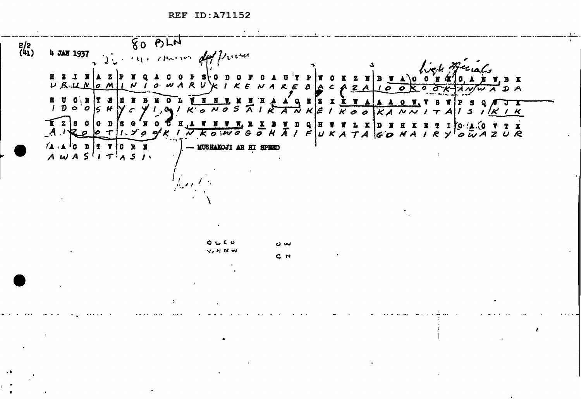$800M$  $\frac{2}{2}$ <br>(41) 4 JAN 1937 I have come du priver red Beerals  $R<sub>2</sub>$  $\mathbf{I}$  **N** UNOM  $1 N I$   $0 W$  $U$   $R$  $\mathcal{R}$  $A R E$ A  $\boldsymbol{\beta}$  $|A \rangle$  $\overline{z}$ A  $\mathbf{a}$  $\boldsymbol{c}$ A NIW A D A ō  $C$   $N$   $T$   $T$   $T$ **WHEN**  $\mathbf{B}$  $\mathbf{u}$  $\bullet$  $X$   $Z$   $X$   $X$   $Y$   $A$   $A$   $A$  $\mathbf{o}$   $\mathbf{v}$ .  $1\overline{D}$ :ءا  $\bm{\mu}$  M  $\circ$   $\circ$  $c \ y \ | \ A \ b$  $\overline{\Lambda}$ ᅐ \ᄰ : ع ゴ  $\overline{K}$  $\overline{\mathcal{O}}$  $KAN$  $K K$ 5  $\mathbf{z}$  $|s \; o$  $\frac{\mathbf{X} \mathbf{Y} \mathbf{W}}{\sigma \mathbf{W}} \mathbf{A} \mathbf{B} \mathbf{X} \mathbf{B} \mathbf{Y} \mathbf{A}$ nis  $10$  $\mathbf{H}$ D  $\mathbf{H}$  $\mathbf{r} \mathbf{o}$  :  $\mathbf{r} \mathbf{.} \mathbf{.} \mathbf{o}$  : **VTX**  $\mathbf{I}$  $1 \times c$ Ē  $\mathcal{P}$  $\overline{N}$   $\overline{K}$  $U \boldsymbol{\kappa}$   $A$  $\boldsymbol{\mathcal{H}}$  $\mathcal{R}$  $\boldsymbol{\mathcal{A}}$  $o<sub>W</sub>AZUR$  $\tau$  $60$  $\vee$ -- MUSHAKOJI AR HI SPEED  $(A \cup A)$  of  $D$  and  $T$  and  $T$  and  $T$  and  $T$  and  $T$  and  $T$  and  $T$  and  $T$  and  $T$  and  $T$  and  $T$  and  $T$  and  $T$  and  $T$  and  $T$  and  $T$  and  $T$  and  $T$  and  $T$  and  $T$  and  $T$  and  $T$  and  $T$  and  $T$  and  $T$  and  $T$  $AWASIITASI$  $Q \subset C$ نیں دے **いりせい**  $C<sub>N</sub>$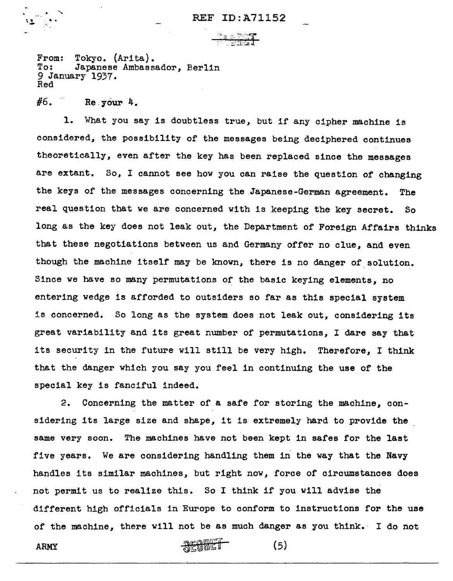From: Tokyo. (Arita).<br>To: Japanese Ambass Japanese Ambassador, Berlin 9 January 1937. Red

 $#6.$  Re. your 4.

1. What you say is doubtless true, but if any cipher machine is considered, the possibility of the messages being deciphered continues theoretically, even after the key has been replaced since the messages are extant. So, I cannot see how you can raise the question of changing the keys of the messages concerning the .Japanese-German agreement. The real question that we are concerned with is keeping the key secret. So long as the key does not leak out, the Department of Foreign Affairs thinks that these negotiations between us and Germany offer no clue, and even though the machine itself may be known, there is no danger of solution. Since we have so many permutations of the basic keying elements, no entering wedge is afforded to outsiders so far as this special system is concerned. So long as the system does not leak out, considering its great variability and its great number of permutations, I dare say that its security in the future will still be very high. Therefore, I think that the danger which you say you feel in continuing the use of the special key is fanciful indeed.

2. Concerning the matter of a safe for storing the machine, considering its large size and shape, it is extremely hard to provide the same very soon. The machines have not been kept in safes for the last five years. We are considering handling them in the way that the Navy handles its similar machines, but right now, force of circumstances does not permit us to realize this. So I think if you will advise the different high officials in Europe to conform to instructions for the use of the machine, there will not be as much danger as you think.· I do not

 $\mathbb{R} \times \mathbb{R}$  (5)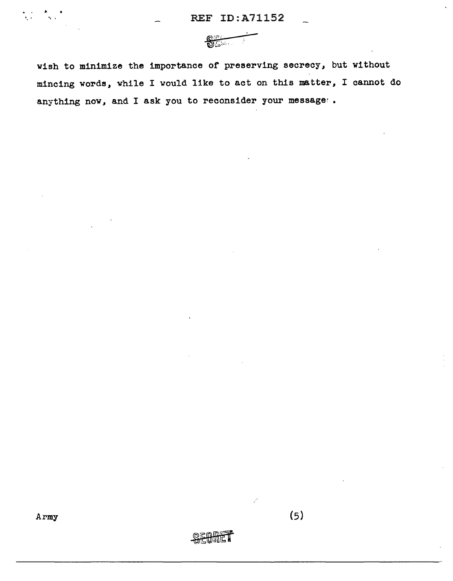

wish to minimize the importance of preserving secrecy, but without mincing words, while I would like to act on this matter, I cannot do anything now, and I ask you to reconsider your message:.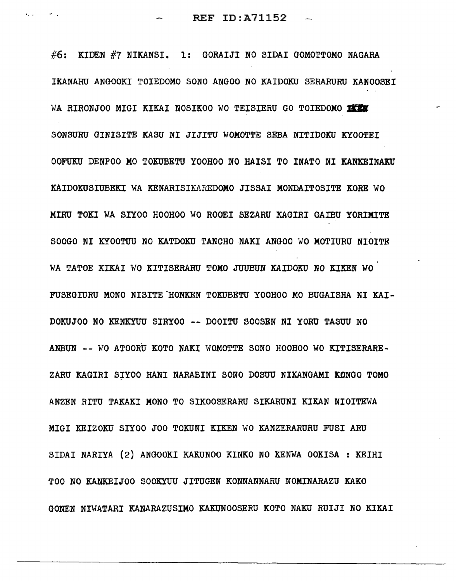$\#6$ : KIDEN  $\#7$  NIKANSI. 1: GORAIJI NO SIDAI GOMOTTOMO NAGARA IKANARU ANGOOKI TOIEDOMO SONO ANGOO NO KAIDOKU SERARURU KANOOSEI WA RIRONJOO MIGI KIKAI NOSIKOO WO TEISIERU GO TOIEDOMO IKEM SONSURU GINISITE KASU NI JIJITU WOMOTTE SEBA NITIDOKU KYOOTEI OOFUKU DENPOO MO TOKUBETU YOOHOO NO HAISI TO INATO NI KANKEINAKU KAIDOKUSIUBEKI WA KENARISIKAREDOMO JISSAI MONDAITOSITE KORE WO MIRU TOKI WA SIYOO HOOHOO WO ROOEI SEZARU KAGIRI GAIBU YORIMITE SOOGO NI KYOOTUU NO KATDOKU TANCHO NAKI ANGOO WO MOTIURU NIOITE WA TATOE KIKAI WO KITISERARU TOMO JUUBUN KAIDOKU NO KIKEN WO FUSEGIURU MONO NISITE HONKEN TOKUBETU YOOHOO MO BUGAISHA NI KAI-DOKUJOO NO KENKYUU SIRYOO -- DOOITU SOOSEN NI YORU TASUU NO ANBUN -- WO ATOORU KOTO NAKI WOMOTTE SONO HOOHOO WO KITISERARE-ZARU KAGIRI SIYOO HANI NARABINI SONO DOSUU NIKANGAMI KONGO TOMO ANZEN RITU TAKAKI MONO TO SIKOOSERARU SIKARUNI KIKAN NIOITEWA MIGI KEIZOKU SIYOO JOO TOKUNI KIKEN WO KANZERARURU FUSI ARU SIDAI NARIYA (2) ANGOOKI KAKUNOO KINKO NO KENWA OOKISA : KEIHI TOO NO KANKEIJOO SOOKYUU JITUGEN KONNANNARU NOMINARAZU KAKO GONEN NIWATARI KANARAZUSIMO KAKUNOOSERU KOTO NAKU RUIJI NO KIKAI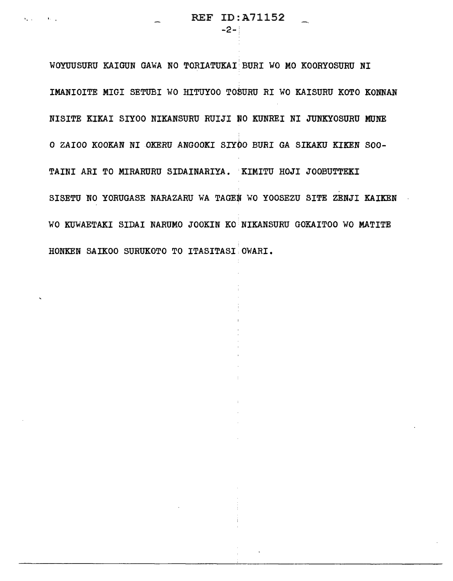$-2-{}^{\circ}$ 

WOYUUSURU KAIGUN GAWA NO TORIATUKAI:BURI WO MO KOORYOSURU NI IMANIOITE MIGI SETUBI WO HITUYOO TOSURU RI WO KAISURU KOTO KONNAN NISITE KIKAI SIYOO NIKANSURU RUIJI NO KUNREI NI JUNKYOSURU MONE 0 ZAIOO KOOKAN NI OKERU ANGOOKI SIYOO BURI GA SIKAKU KIKEN 800- TAINI ARI TO MIRARURU SIDAINARIYA. KIMITU HOJI JOOBUTTEKI SISETU NO YORUGASE NARAZARU WA TAGEN WO YOOSEZU SITE ZENJI KAIKEN WO KUWAETAKI SIDAI NARUMO JOOKIN KO NIKANSURU GOKAITOO WO MATITE HONKEN SAIKOO SURUKOTO TO ITASITASI OWARI.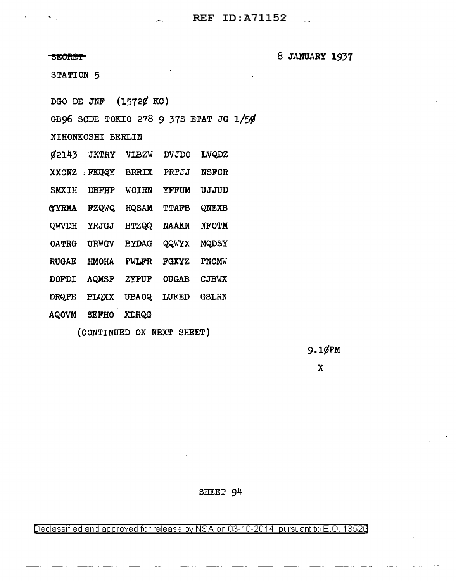$\mathbf{r}_1$  .

~EOHE'f 8 JANUARY 1937

STATION 5

DGO DE JNF {1572¢ KC)

GB96 SODE TOKIO 278 9 378 ETAT JG 1/5¢

NIHONKOSHI BERLIN

¢2143 JKTRY VLBZW JJVJDO LVQ,DZ

XXCNZ FKUQY BRRIX PRPJJ NSFCR

SMXIH DBFHP WOIRN YFFUM UJJUD

O'YRMA FZQWQ HQ SAM TTAFB QNEXB

QWVDH YRJGJ BTZQQ NAAKN NFOTM

OATRG URWGV BYDAG QQWYX MQDSY

RUGAE HMOHA PWLFR FGXYZ PNCMW

DOFDI AQMSP ZYPUP OU GAB CJBWX

DRQPE BLQXX UBAOQ LUEED GSLRN

AQOVM SEFHO XDRQG

(CONTINUED ON NEXT SHEET)

9.1¢PM

x

SHEET 94

Declassified and approved for release by NSA on 03-10-2014 pursuant to E.O. 13526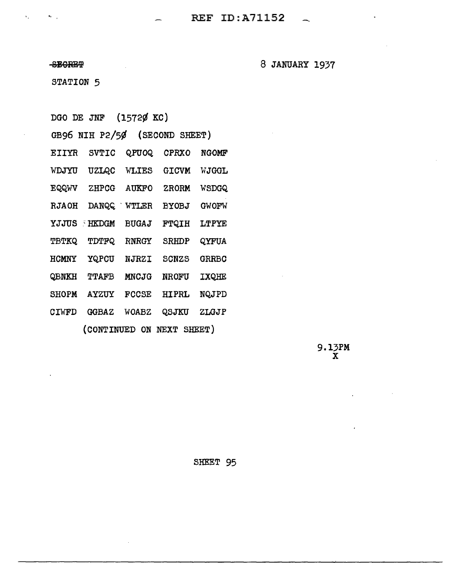8BGRE9?

 $\mathbf{v}_1$  ,

 $\mathcal{F}_1$ 

8 JANUARY 1937

STATION 5

DGO DE JNF (1572¢ KC)

|              | GB96 NIH P2/50      |              | (SECOND SHEET)            |              |
|--------------|---------------------|--------------|---------------------------|--------------|
| EIIYR        | SVTIC               | QPUOQ        | <b>CPRX0</b>              | <b>NGOMF</b> |
| WDJYU        | UZLQC               | WLIES        | <b>GICVM</b>              | WJGGL        |
| <b>EQQWV</b> | ZHPCG               | <b>AUKFO</b> | <b>ZRORM</b>              | WSDGQ        |
| <b>RJAOH</b> | <b>DANQQ</b><br>- 7 | WTLER        | <b>BYOBJ</b>              | <b>GWOFW</b> |
| YJJUS        | <b>HKDGM</b>        | <b>BUGAJ</b> | <b>FTQIH</b>              | <b>LTPYE</b> |
| <b>TBTKQ</b> | <b>TDTFQ</b>        | <b>RNRGY</b> | SRHDP                     | QYFUA        |
| HCMNY        | YQPCU               | <b>NJRZI</b> | SCNZS                     | <b>GRRBC</b> |
| QBNKH        | TTAFB               | <b>MNCJG</b> | <b>NROFU</b>              | IXQHE        |
| <b>SHOPM</b> | <b>AYZUY</b>        | <b>FCCSE</b> | HIPRL                     | NQJPD        |
| <b>CIWFD</b> | <b>GGBAZ</b>        | WOABZ        | QSJKU                     | ZLGJP        |
|              |                     |              | (CONTINUED ON NEXT SHEET) |              |

9.13PM x

SHEET 95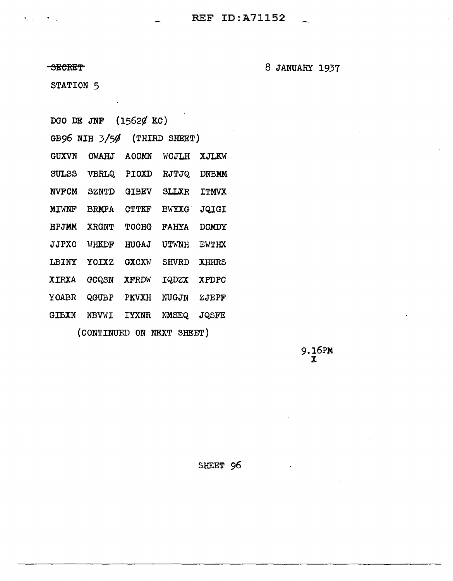**SECRET** 

8 JANUARY 1937

STATION 5

DGO DE JNF (1562¢ KC)

| GB96 NIH 3/50 |              |              |               |
|---------------|--------------|--------------|---------------|
| <b>OWAHJ</b>  | <b>AOCMN</b> | WCJLH        | XJLKW         |
| <b>VBRLQ</b>  | PIOXD        | RJTJQ        | <b>DNBMM</b>  |
| <b>SZNTD</b>  | <b>GIBEV</b> | SLLXR        | <b>TTMVX</b>  |
| <b>BRMPA</b>  | <b>CTTKF</b> | <b>BWYXG</b> | <b>JQIGI</b>  |
| <b>XRGNT</b>  | <b>TOCHG</b> | <b>FAHYA</b> | <b>DCMDY</b>  |
| WHKDF         | <b>HUGAJ</b> | UTWNH        | <b>EWTHX</b>  |
| YOIXZ         | <b>GXCXW</b> | <b>SHVRD</b> | <b>XHHRS</b>  |
| GCQSN         | <b>XFRDW</b> | <b>IQDZX</b> | <b>XPDPC</b>  |
| QGUBP         |              | <b>NUGJN</b> | ZJEPF         |
| <b>NBVWI</b>  | <b>TYXNR</b> | NMSEQ        | JQSFE         |
|               |              | <b>PKVXH</b> | (THIRD SHEET) |

(CONTINUED ON NEXT SHEET)

9.16PM x

SHEET 96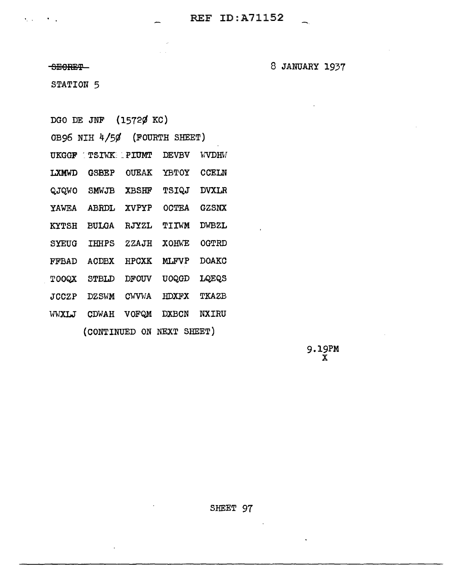SECRET-

8 JANUARY 1937

STATION 5

DGO DE JNF (1572Ø KC)

|              | GB96 NIH 4/50      |               | (FOURTH SHEET) |              |
|--------------|--------------------|---------------|----------------|--------------|
| <b>UKGGF</b> | <b>TSIWK PIUMT</b> |               | <b>DEVBV</b>   | WVDHV        |
| LXMWD        | <b>GSBEP</b>       | <b>OUEAK</b>  | <b>YBTOY</b>   | <b>CCELN</b> |
| QJQWO        | SMWJB              | <b>XBSHF</b>  | TSIQJ          | <b>DVXLR</b> |
| <b>YAWEA</b> | <b>ABRDL</b>       | <b>XVPYP</b>  | OCTEA          | GZSNX        |
| <b>KYTSH</b> | <b>BULGA</b>       | RJYZL         | TITWM          | <b>DWBZL</b> |
| <b>SYEUG</b> | IHHPS              | ZZAJH         | XOHWE          | OGTRD        |
| <b>FFBAD</b> | <b>ACDBX</b>       | <b>HPCXK</b>  | <b>MLFVP</b>   | <b>DOAKC</b> |
| TOOQX        | <b>STBLD</b>       | <b>DFOUV</b>  | UOQGD          | <b>LQEQS</b> |
| <b>JCCZP</b> | DZSWM              | <b>CWVVIA</b> | <b>HDXFX</b>   | <b>TKAZB</b> |
| WWXLJ        | CDWAH              | VOFQM         | <b>DXBCN</b>   | <b>NXIRU</b> |
|              | (CONTINUED ON NEXT |               |                | SHEET)       |

 $\ddot{\phantom{a}}$ 

 $9.19PM$ <br> $X$ 

 $\mathcal{L}$ 

 $\ddot{\phantom{0}}$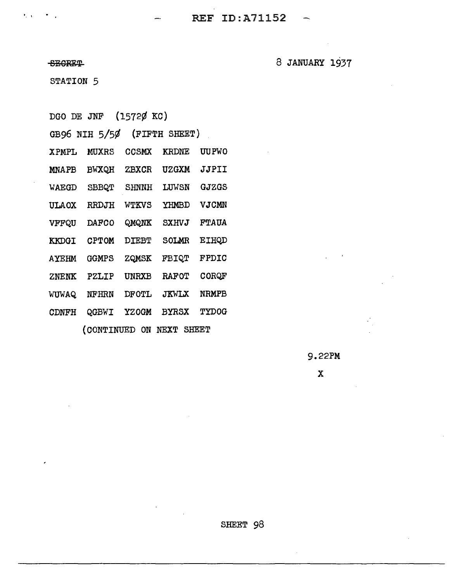**The Second Second Second Second REF ID:A71152** 

SBGRET

8 JANUARY 1937

STATION 5

DGO DE JNF (1572¢ KC)

|              | GB96 NIH 5/50 |              | (FIFTH SHEET) |              |
|--------------|---------------|--------------|---------------|--------------|
| <b>XPMPL</b> | MUXRS         | <b>CCSMX</b> | KRDNE         | UU PWO       |
| <b>MNAPB</b> | <b>BWXQH</b>  | <b>ZBXCR</b> | <b>UZGXM</b>  | JJPII        |
| WAEGD        | SBBQT         | SHNNH        | LUWSN         | GJZGS        |
| <b>ULAOX</b> | RRDJH         | WTKVS        | YHMBD         | VJCMN        |
| VFFQU        | <b>DAFCO</b>  | QMQNK        | SXHVJ         | <b>FTAUA</b> |
| <b>KKDGI</b> | <b>CPTOM</b>  | <b>DIEBT</b> | <b>SOLMR</b>  | <b>EIHQD</b> |
| <b>AYEHM</b> | GGMPS         | ZQMSK        | <b>FBIQT</b>  | <b>FPDIC</b> |
| ZNENK        | PZLIP         | UNRXB        | <b>RAFOT</b>  | CORQF        |
| WUWAQ        | NFHRN         | <b>DFOTL</b> | <b>JKWLX</b>  | NRMPB        |
| <b>CDNFH</b> | QGBWI         | <b>YZOGM</b> | <b>BYRSX</b>  | <b>TYDOG</b> |
|              |               |              |               |              |

(CONTINUED ON NEXT SHEET

9.22PM

x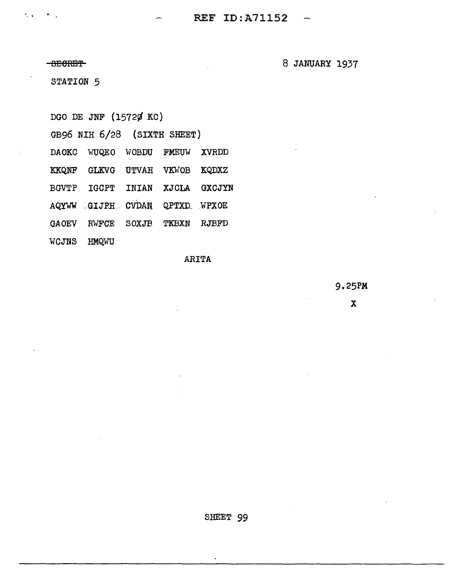**BECRET** 

 $\mathcal{F}_\mathrm{c}$  .

 $\mathbf{P}_{\mathbf{r},\mathbf{r},\mathbf{q}}$ 

8 JANUARY 1937

STATION 5

DGO DE JNF (15720 KC)

GB96 NIH 6/28 (SIXTH SHEET)

DAOKC WUQEO WOBDU FMEUW XVRDD

KKQNF GLKVG UTVAH VKWOB KQDXZ

**BGVTP IGCPT** INIAN XJCLA GXCJYN

AQYWW GIJPH CVDAN QPTXD WPXOE

**GAOEV** RWFCE SOXJB TKBXN RJBFD

WCJNS HMQWU

ARITA

9.25PM

 $\mathbf{x}$ 

SHEET 99